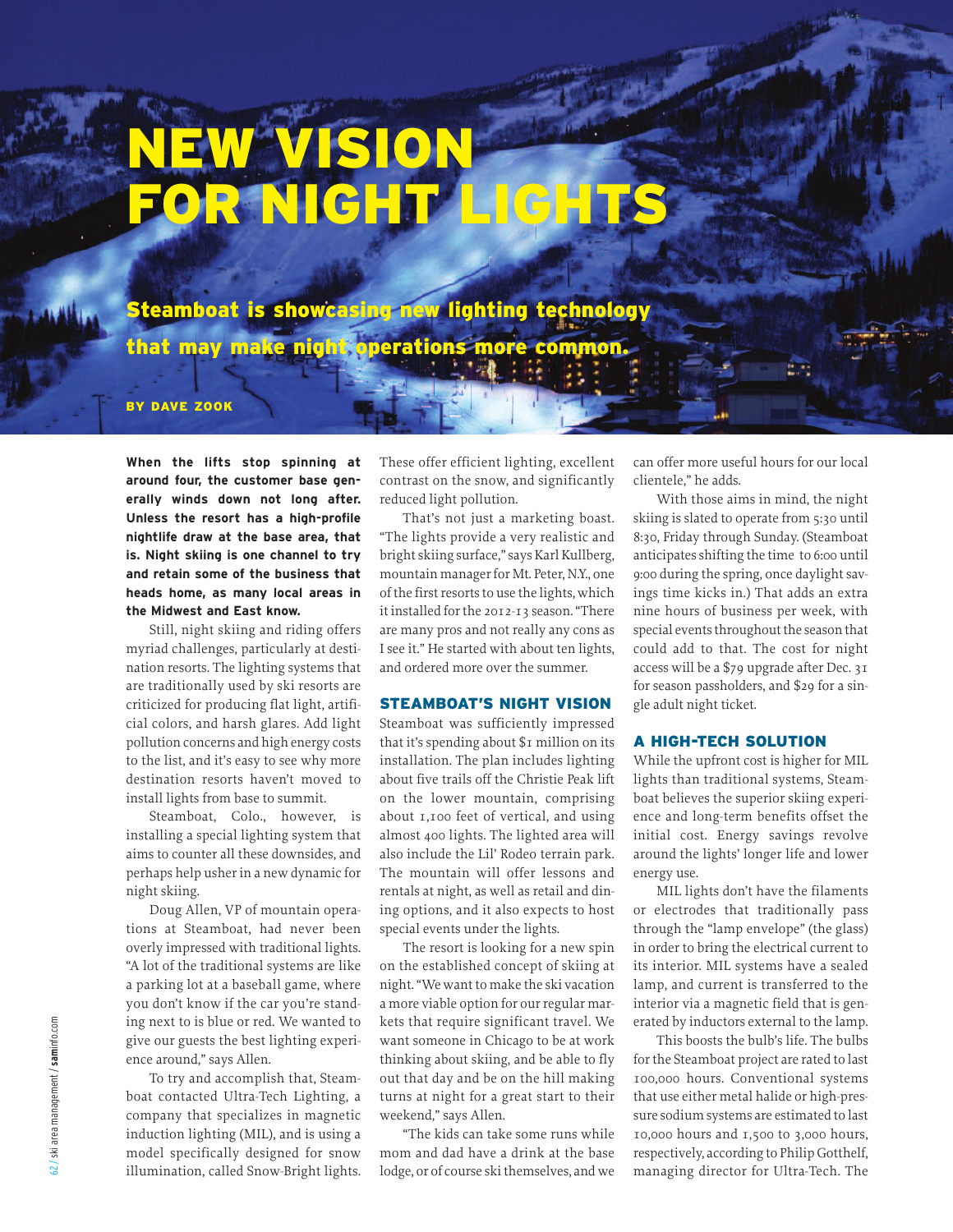# **NEW VISION FOR NIGHT LIGHTS**

**Steamboat is showcasing new lighting technology that may make night operations more common.**

**BY DAVE ZOOK**

**When the lifts stop spinning at around four, the customer base generally winds down not long after. Unless the resort has a high-profile nightlife draw at the base area, that is. Night skiing is one channel to try and retain some of the business that heads home, as many local areas in the Midwest and East know.**

Still, night skiing and riding offers myriad challenges, particularly at destination resorts. The lighting systems that are traditionally used by ski resorts are criticized for producing flat light, artificial colors, and harsh glares. Add light pollution concerns and high energy costs to the list, and it's easy to see why more destination resorts haven't moved to install lights from base to summit.

Steamboat, Colo., however, is installing a special lighting system that aims to counter all these downsides, and perhaps help usher in a new dynamic for night skiing.

Doug Allen, VP of mountain operations at Steamboat, had never been overly impressed with traditional lights. "A lot of the traditional systems are like a parking lot at a baseball game, where you don't know if the car you're standing next to is blue or red. We wanted to give our guests the best lighting experience around," says Allen.

To try and accomplish that, Steamboat contacted Ultra-Tech Lighting, a company that specializes in magnetic induction lighting (MIL), and is using a model specifically designed for snow illumination, called Snow-Bright lights.

These offer efficient lighting, excellent contrast on the snow, and significantly reduced light pollution.

That's not just a marketing boast. "The lights provide a very realistic and bright skiing surface," says Karl Kullberg, mountain manager for Mt. Peter, N.Y., one of the first resorts to use the lights, which itinstalled forthe 2012-13 season."There are many pros and not really any cons as I see it." He started with about ten lights, and ordered more over the summer.

### **STEAMBOAT'S NIGHT VISION**

Steamboat was sufficiently impressed that it's spending about \$1 million on its installation. The plan includes lighting about five trails off the Christie Peak lift on the lower mountain, comprising about 1,100 feet of vertical, and using almost 400 lights. The lighted area will also include the Lil' Rodeo terrain park. The mountain will offer lessons and rentals at night, as well as retail and dining options, and it also expects to host special events under the lights.

The resort is looking for a new spin on the established concept of skiing at night. "We want to make the ski vacation a more viable option for our regular markets that require significant travel. We want someone in Chicago to be at work thinking about skiing, and be able to fly out that day and be on the hill making turns at night for a great start to their weekend," says Allen.

"The kids can take some runs while mom and dad have a drink at the base lodge, or of course ski themselves, and we can offer more useful hours for our local clientele," he adds.

With those aims in mind, the night skiing is slated to operate from 5:30 until 8:30, Friday through Sunday. (Steamboat anticipates shifting the time to 6:00 until 9:00 during the spring, once daylight savings time kicks in.) That adds an extra nine hours of business per week, with special events throughout the season that could add to that. The cost for night access will be a \$79 upgrade after Dec. 31 for season passholders, and \$29 for a single adult night ticket.

#### **A HIGH-TECH SOLUTION**

While the upfront cost is higher for MIL lights than traditional systems, Steamboat believes the superior skiing experience and long-term benefits offset the initial cost. Energy savings revolve around the lights' longer life and lower energy use.

MIL lights don't have the filaments or electrodes that traditionally pass through the "lamp envelope" (the glass) in order to bring the electrical current to its interior. MIL systems have a sealed lamp, and current is transferred to the interior via a magnetic field that is generated by inductors external to the lamp.

This boosts the bulb's life. The bulbs forthe Steamboat project are rated to last 100,000 hours. Conventional systems that use either metal halide or high-pressure sodium systems are estimated to last 10,000 hours and 1,500 to 3,000 hours, respectively, according to Philip Gotthelf, ing next to is blue or red. We wanted to least hat require significant travel. We erated by inductors external to the lamp,<br>give our guests the best lighting experiment want someone in Chicago to be at work This boosts the